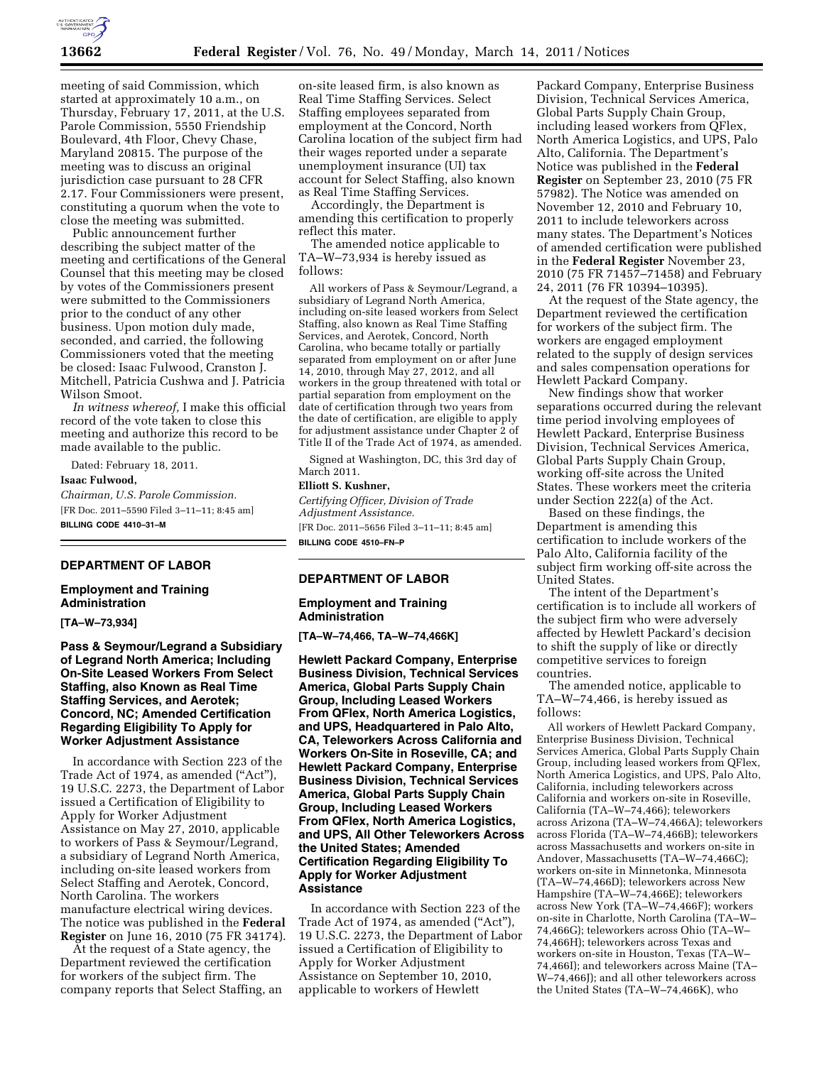

meeting of said Commission, which started at approximately 10 a.m., on Thursday, February 17, 2011, at the U.S. Parole Commission, 5550 Friendship Boulevard, 4th Floor, Chevy Chase, Maryland 20815. The purpose of the meeting was to discuss an original jurisdiction case pursuant to 28 CFR 2.17. Four Commissioners were present, constituting a quorum when the vote to close the meeting was submitted.

Public announcement further describing the subject matter of the meeting and certifications of the General Counsel that this meeting may be closed by votes of the Commissioners present were submitted to the Commissioners prior to the conduct of any other business. Upon motion duly made, seconded, and carried, the following Commissioners voted that the meeting be closed: Isaac Fulwood, Cranston J. Mitchell, Patricia Cushwa and J. Patricia Wilson Smoot.

*In witness whereof,* I make this official record of the vote taken to close this meeting and authorize this record to be made available to the public.

Dated: February 18, 2011.

**Isaac Fulwood,** 

*Chairman, U.S. Parole Commission.*  [FR Doc. 2011–5590 Filed 3–11–11; 8:45 am] **BILLING CODE 4410–31–M** 

# **DEPARTMENT OF LABOR**

## **Employment and Training Administration**

**[TA–W–73,934]** 

### **Pass & Seymour/Legrand a Subsidiary of Legrand North America; Including On-Site Leased Workers From Select Staffing, also Known as Real Time Staffing Services, and Aerotek; Concord, NC; Amended Certification Regarding Eligibility To Apply for Worker Adjustment Assistance**

In accordance with Section 223 of the Trade Act of 1974, as amended ("Act"), 19 U.S.C. 2273, the Department of Labor issued a Certification of Eligibility to Apply for Worker Adjustment Assistance on May 27, 2010, applicable to workers of Pass & Seymour/Legrand, a subsidiary of Legrand North America, including on-site leased workers from Select Staffing and Aerotek, Concord, North Carolina. The workers manufacture electrical wiring devices. The notice was published in the **Federal Register** on June 16, 2010 (75 FR 34174).

At the request of a State agency, the Department reviewed the certification for workers of the subject firm. The company reports that Select Staffing, an on-site leased firm, is also known as Real Time Staffing Services. Select Staffing employees separated from employment at the Concord, North Carolina location of the subject firm had their wages reported under a separate unemployment insurance (UI) tax account for Select Staffing, also known as Real Time Staffing Services.

Accordingly, the Department is amending this certification to properly reflect this mater.

The amended notice applicable to TA–W–73,934 is hereby issued as follows:

All workers of Pass & Seymour/Legrand, a subsidiary of Legrand North America, including on-site leased workers from Select Staffing, also known as Real Time Staffing Services, and Aerotek, Concord, North Carolina, who became totally or partially separated from employment on or after June 14, 2010, through May 27, 2012, and all workers in the group threatened with total or partial separation from employment on the date of certification through two years from the date of certification, are eligible to apply for adjustment assistance under Chapter 2 of Title II of the Trade Act of 1974, as amended.

Signed at Washington, DC, this 3rd day of March 2011.

## **Elliott S. Kushner,**

*Certifying Officer, Division of Trade Adjustment Assistance.*  [FR Doc. 2011–5656 Filed 3–11–11; 8:45 am] **BILLING CODE 4510–FN–P** 

# **DEPARTMENT OF LABOR**

#### **Employment and Training Administration**

**[TA–W–74,466, TA–W–74,466K]** 

**Hewlett Packard Company, Enterprise Business Division, Technical Services America, Global Parts Supply Chain Group, Including Leased Workers From QFlex, North America Logistics, and UPS, Headquartered in Palo Alto, CA, Teleworkers Across California and Workers On-Site in Roseville, CA; and Hewlett Packard Company, Enterprise Business Division, Technical Services America, Global Parts Supply Chain Group, Including Leased Workers From QFlex, North America Logistics, and UPS, All Other Teleworkers Across the United States; Amended Certification Regarding Eligibility To Apply for Worker Adjustment Assistance** 

In accordance with Section 223 of the Trade Act of 1974, as amended ("Act"), 19 U.S.C. 2273, the Department of Labor issued a Certification of Eligibility to Apply for Worker Adjustment Assistance on September 10, 2010, applicable to workers of Hewlett

Packard Company, Enterprise Business Division, Technical Services America, Global Parts Supply Chain Group, including leased workers from QFlex, North America Logistics, and UPS, Palo Alto, California. The Department's Notice was published in the **Federal Register** on September 23, 2010 (75 FR 57982). The Notice was amended on November 12, 2010 and February 10, 2011 to include teleworkers across many states. The Department's Notices of amended certification were published in the **Federal Register** November 23, 2010 (75 FR 71457–71458) and February 24, 2011 (76 FR 10394–10395).

At the request of the State agency, the Department reviewed the certification for workers of the subject firm. The workers are engaged employment related to the supply of design services and sales compensation operations for Hewlett Packard Company.

New findings show that worker separations occurred during the relevant time period involving employees of Hewlett Packard, Enterprise Business Division, Technical Services America, Global Parts Supply Chain Group, working off-site across the United States. These workers meet the criteria under Section 222(a) of the Act.

Based on these findings, the Department is amending this certification to include workers of the Palo Alto, California facility of the subject firm working off-site across the United States.

The intent of the Department's certification is to include all workers of the subject firm who were adversely affected by Hewlett Packard's decision to shift the supply of like or directly competitive services to foreign countries.

The amended notice, applicable to TA–W–74,466, is hereby issued as follows:

All workers of Hewlett Packard Company, Enterprise Business Division, Technical Services America, Global Parts Supply Chain Group, including leased workers from QFlex, North America Logistics, and UPS, Palo Alto, California, including teleworkers across California and workers on-site in Roseville, California (TA–W–74,466); teleworkers across Arizona (TA–W–74,466A); teleworkers across Florida (TA–W–74,466B); teleworkers across Massachusetts and workers on-site in Andover, Massachusetts (TA–W–74,466C); workers on-site in Minnetonka, Minnesota (TA–W–74,466D); teleworkers across New Hampshire (TA–W–74,466E); teleworkers across New York (TA–W–74,466F); workers on-site in Charlotte, North Carolina (TA–W– 74,466G); teleworkers across Ohio (TA–W– 74,466H); teleworkers across Texas and workers on-site in Houston, Texas (TA–W– 74,466I); and teleworkers across Maine (TA– W–74,466J); and all other teleworkers across the United States (TA–W–74,466K), who